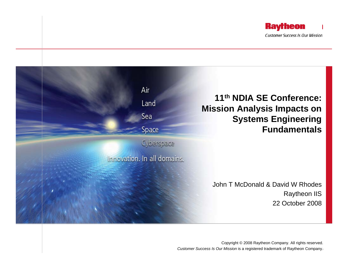



**Customer Success Is Our Mission is a registered trademark of Raytheon Company.** Copyright © 2008 Raytheon Company. All rights reserved.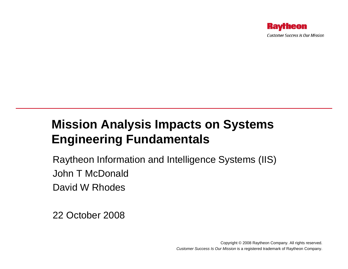## **Mission Analysis Impacts on Systems Engineering Fundamentals**

Raytheon Information and Intelligence Systems (IIS) John T McDonaldDavid W Rhodes

22 October 2008

Copyright © 2008 Raytheon Company. All rights reserved. *Customer Success Is Our Mission* is a registered trademark of Raytheon Company.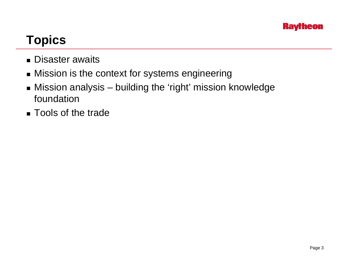

# **Topics**

- Disaster awaits
- Mission is the context for systems engineering
- Mission analysis building the 'right' mission knowledge foundation
- Tools of the trade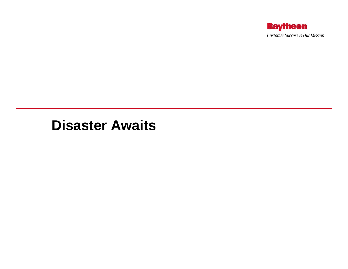

### **Disaster Awaits**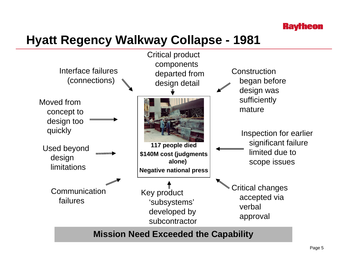

# **Hyatt Regency Walkway Collapse - 1981**

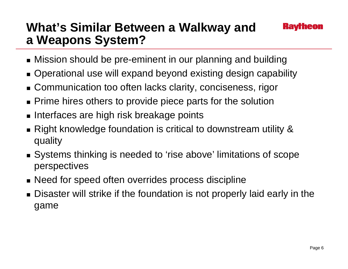# **What's Similar Between a Walkway and a Weapons System?**

- Mission should be pre-eminent in our planning and building
- Operational use will expand beyond existing design capability
- Communication too often lacks clarity, conciseness, rigor
- **Prime hires others to provide piece parts for the solution**
- $\blacksquare$  Interfaces are high risk breakage points
- Right knowledge foundation is critical to downstream utility & quality
- Systems thinking is needed to 'rise above' limitations of scope perspectives
- Need for speed often overrides process discipline
- Disaster will strike if the foundation is not properly laid early in the game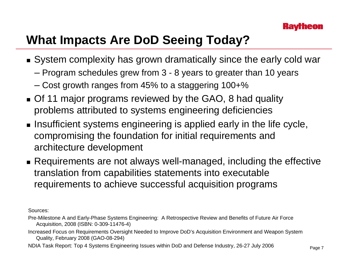

## **What Impacts Are DoD Seeing Today?**

- System complexity has grown dramatically since the early cold war
	- Program schedules grew from 3 8 years to greater than 10 years
	- Cost growth ranges from 45% to a staggering 100+%
- **Of 11 major programs reviewed by the GAO, 8 had quality** problems attributed to systems engineering deficiencies
- $\blacksquare$  Insufficient systems engineering is applied early in the life cycle, compromising the foundation for initial requirements and architecture development
- Requirements are not always well-managed, including the effective translation from capabilities statements into executable requirements to achieve successful acquisition programs

Sources:

- Pre-Milestone A and Early-Phase Systems Engineering: A Retrospective Review and Benefits of Future Air Force Acquisition, 2008 (ISBN: 0-309-11476-4)
- Increased Focus on Requirements Oversight Needed to Improve DoD's Acquisition Environment and Weapon System Quality, February 2008 (GAO-08-294)

NDIA Task Report: Top 4 Systems Engineering Issues within DoD and Defense Industry, 26-27 July 2006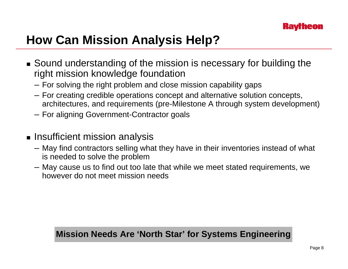

# **How Can Mission Analysis Help?**

- Sound understanding of the mission is necessary for building the right mission knowledge foundation
	- For solving the right problem and close mission capability gaps
	- For creating credible operations concept and alternative solution concepts, architectures, and requirements (pre-Milestone A through system development)
	- For aligning Government-Contractor goals
- $\blacksquare$  Insufficient mission analysis
	- May find contractors selling what they have in their inventories instead of what is needed to solve the problem
	- May cause us to find out too late that while we meet stated requirements, we however do not meet mission needs

#### **Mission Needs Are 'North Star' for Systems Engineering**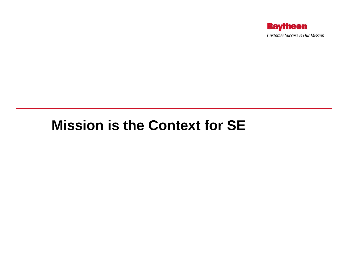

# **Mission is the Context for SE**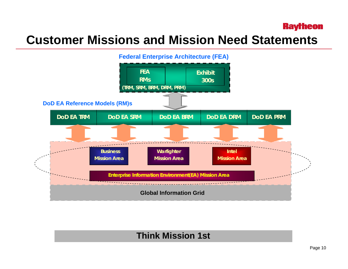#### **Raytheon**

### **Customer Missions and Mission Need Statements**



#### **Think Mission 1st**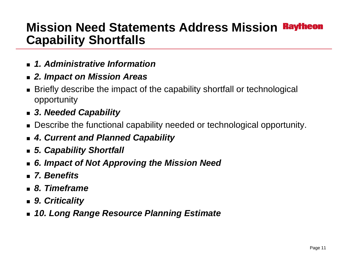### **Mission Need Statements Address Mission Capability Shortfalls**

- *1. Administrative Information*
- *2. Impact on Mission Areas*
- Briefly describe the impact of the capability shortfall or technological opportunity
- *3. Needed Capability*
- Describe the functional capability needed or technological opportunity.
- *4. Current and Planned Capability*
- *5. Capability Shortfall*
- *6. Impact of Not Approving the Mission Need*
- *7. Benefits*
- *8. Timeframe*
- *9. Criticality*
- *10. Long Range Resource Planning Estimate*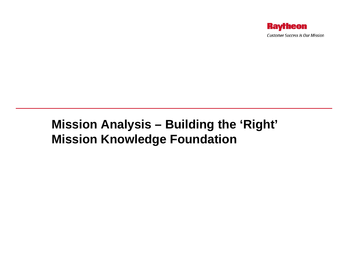

### **Mission Analysis – Building the 'Right' Mission Knowledge Foundation**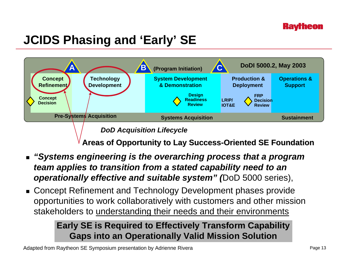

# **JCIDS Phasing and 'Early' SE**



*DoD Acquisition Lifecycle*

**Areas of Opportunity to Lay Success Areas of Opportunity to Lay Success -Oriented SE Foundation Oriented SE Foundation**

- *"Systems engineering is the overarching process that a program team applies to transition from a stated capability need to an operationally effective and suitable system" (*DoD 5000 series),
- Concept Refinement and Technology Development phases provide opportunities to work collaboratively with customers and other mission stakeholders to understanding their needs and their environments

### **Early SE is Required to Effectively Transform Capability Gaps into an Operationally Valid Mission Solution**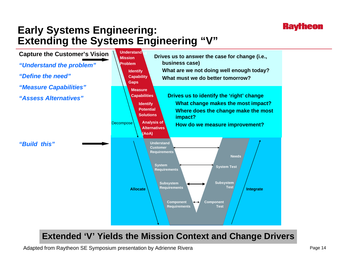### **Early Systems Engineering: Extending the Systems Engineering "V"**



### **Design & Build Extended 'V' Yields the Mission Context and Change Drivers**

Adapted from Raytheon SE Symposium presentation by Adrienne Rivera

**Kavrneon**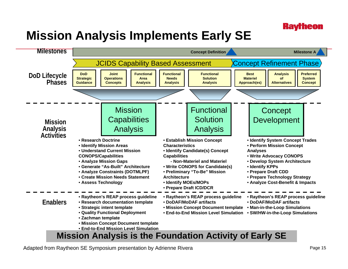# **Mission Analysis Implements Early SE**



Adapted from Raytheon SE Symposium presentation by Adrienne Rivera

**Kayfheon**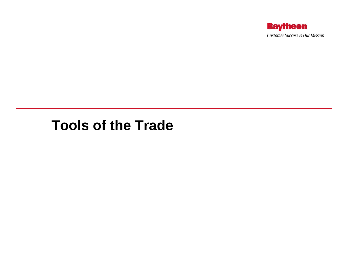

## **Tools of the Trade**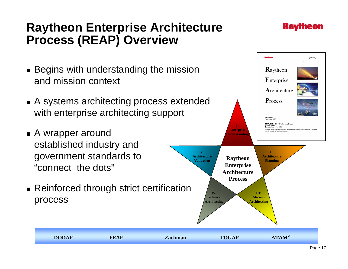### **Raytheon Enterprise Architecture Process (REAP) Overview**

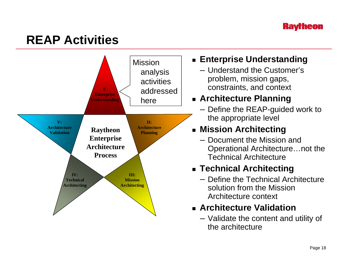#### **Kavrneon**

# **REAP Activities**



### **Enterprise Understanding**

– Understand the Customer's problem, mission gaps, constraints, and context

### **Architecture Planning**

– Define the REAP-guided work to the appropriate level

### **Mission Architecting**

– Document the Mission and Operational Architecture…not the Technical Architecture

### **Technical Architecting**

– Define the Technical Architecture solution from the Mission Architecture context

### **Architecture Validation**

– Validate the content and utility of the architecture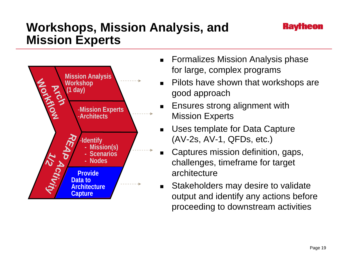### **Workshops, Mission Analysis, and Mission Experts**



- $\blacksquare$  Formalizes Mission Analysis phase for large, complex programs
- $\blacksquare$  Pilots have shown that workshops are good approach
- $\blacksquare$  Ensures strong alignment with Mission Experts
- $\blacksquare$  Uses template for Data Capture (AV-2s, AV-1, QFDs, etc.)
- $\blacksquare$  Captures mission definition, gaps, challenges, timeframe for target architecture
- $\blacksquare$  Stakeholders may desire to validate output and identify any actions before proceeding to downstream activities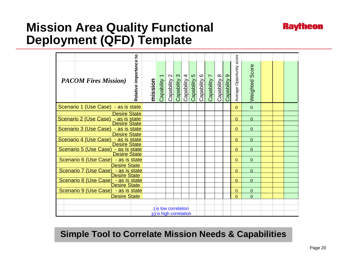### **Mission Area Quality Functional Deployment (QFD) Template**

| $\mathbf{S}$<br>Relative importance<br><b>PACOM Fires Mission</b> )               | mission | $\overline{\phantom{0}}$<br>Capability         | $\mathbf{\Omega}$<br>Capability | $\infty$<br>Capability | 4<br>Capability | $\mathfrak{S}$<br>Capability | ဖ<br>Capability | $\overline{ }$<br>Capability | $\infty$<br>Capability | $\circ$<br>Capability | Average Opportunity score | <b>Weighted Score</b> |  |  |
|-----------------------------------------------------------------------------------|---------|------------------------------------------------|---------------------------------|------------------------|-----------------|------------------------------|-----------------|------------------------------|------------------------|-----------------------|---------------------------|-----------------------|--|--|
| Scenario 1 (Use Case) - as is state                                               |         |                                                |                                 |                        |                 |                              |                 |                              |                        |                       | $\Omega$                  | $\Omega$              |  |  |
| <b>Desire State</b><br>Scenario 2 (Use Case) - as is state<br><b>Desire State</b> |         |                                                |                                 |                        |                 |                              |                 |                              |                        |                       | $\Omega$                  | $\Omega$              |  |  |
| Scenario 3 (Use Case) - as is state<br><b>Desire State</b>                        |         |                                                |                                 |                        |                 |                              |                 |                              |                        |                       | $\Omega$                  | 0                     |  |  |
| Scenario 4 (Use Case) - as is state<br>Desire State                               |         |                                                |                                 |                        |                 |                              |                 |                              |                        |                       | $\Omega$                  | $\Omega$              |  |  |
| Scenario 5 (Use Case) - as is state<br><b>Desire State</b>                        |         |                                                |                                 |                        |                 |                              |                 |                              |                        |                       | $\Omega$                  | $\Omega$              |  |  |
| Scenario 6 (Use Case) - as is state<br><b>Desire State</b>                        |         |                                                |                                 |                        |                 |                              |                 |                              |                        |                       | $\overline{0}$            | $\overline{0}$        |  |  |
| Scenario 7 (Use Case) - as is state<br>Desire State                               |         |                                                |                                 |                        |                 |                              |                 |                              |                        |                       | $\Omega$                  | $\overline{0}$        |  |  |
| Scenario 8 (Use Case) - as is state<br>Desire State                               |         |                                                |                                 |                        |                 |                              |                 |                              |                        |                       | $\Omega$                  | $\Omega$              |  |  |
| Scenario 9 (Use Case) - as is state                                               |         |                                                |                                 |                        |                 |                              |                 |                              |                        |                       | $\Omega$                  | $\overline{0}$        |  |  |
| <b>Desire State</b>                                                               |         |                                                |                                 |                        |                 |                              |                 |                              |                        |                       | $\overline{0}$            | $\overline{0}$        |  |  |
|                                                                                   |         |                                                |                                 |                        |                 |                              |                 |                              |                        |                       |                           |                       |  |  |
|                                                                                   |         | 1 is low correlation<br>10 is high correlation |                                 |                        |                 |                              |                 |                              |                        |                       |                           |                       |  |  |

**Simple Tool to Correlate Mission Needs & Capabilities**

**Raytheon**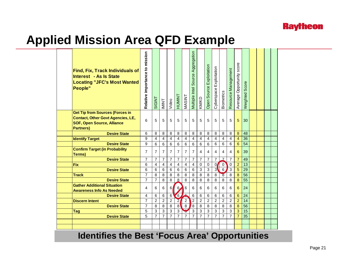

### **Applied Mission Area QFD Example**

| <b>Find, Fix, Track Individuals of</b><br><b>Interest - As Is State</b><br><b>Locating "JFC's Most Wanted</b><br>People"                    | Relative importance to mission | <b>SIGINT</b>  | <b>IMINT</b>            | Video          | <b>TNIMUH</b>   | <b>MASINT</b>  | Multiple Intel Source Aggregation | KM/KD          | Open Source Exploitation | Exploitation<br>Cyberspace | Biometrics              | Resource Management | Average Opportunity score | Weighted Score  |  |  |
|---------------------------------------------------------------------------------------------------------------------------------------------|--------------------------------|----------------|-------------------------|----------------|-----------------|----------------|-----------------------------------|----------------|--------------------------|----------------------------|-------------------------|---------------------|---------------------------|-----------------|--|--|
| <b>Get Tip from Sources (Forces in</b><br><b>Contact, Other Govt Agencies, LE,</b><br><b>SOF, Open Source, Alliance</b><br><b>Partners)</b> | 6                              | 5              | 5                       | 5              | 5               | 5              | 5                                 | 5              | 5                        | 5                          | 5                       | 5                   | 5                         | 30              |  |  |
| <b>Desire State</b>                                                                                                                         | 6                              | 8              | 8                       | 8              | 8               | 8              | 8                                 | 8              | 8                        | 8                          | 8                       | 8                   | 8                         | 48              |  |  |
| <b>Identify Target</b>                                                                                                                      | 9                              | 4              | $\overline{\mathbf{4}}$ | $\overline{4}$ | $\overline{4}$  | 4              | $\overline{4}$                    | $\overline{4}$ | $\overline{4}$           | 4                          | $\overline{\mathbf{4}}$ | 4                   | $\overline{4}$            | 36              |  |  |
| <b>Desire State</b>                                                                                                                         | 9                              | 6              | 6                       | 6              | 6               | 6              | 6                                 | 6              | 6                        | 6                          | 6                       | 6                   | 6                         | 54              |  |  |
| <b>Confirm Target (in Probability</b><br>Terms)                                                                                             | $\overline{7}$                 | $\overline{7}$ | $\overline{7}$          | $\overline{7}$ | $\overline{7}$  | $\overline{7}$ | $\overline{7}$                    | $\overline{4}$ | 4                        | 4                          | $\overline{4}$          | $\overline{4}$      | 6                         | 39              |  |  |
| <b>Desire State</b>                                                                                                                         | $\overline{7}$                 | $\overline{7}$ | $\overline{7}$          | $\overline{7}$ | $\overline{7}$  | $\overline{7}$ | $\overline{7}$                    | $\overline{7}$ | $\overline{7}$           | 7                          | $\overline{z}$          | 7                   | $\overline{7}$            | 49              |  |  |
| <b>Fix</b>                                                                                                                                  | 6                              | 4              | 4                       | 4              | $\overline{4}$  | 4              | 4                                 | $\mathbf 0$    | $\mathbf 0$              | 0 <sub>l</sub>             | $\mathbf 0$             | $\Omega$            | $\overline{a}$            | 13              |  |  |
| <b>Desire State</b>                                                                                                                         | 6                              | 6              | 6                       | 6              | 6               | 6              | 6                                 | 3              | 3                        | 3                          | $\overline{6}$          | 3                   | 5                         | $\overline{29}$ |  |  |
| <b>Track</b>                                                                                                                                | $\overline{7}$                 | 8              | 8                       | 8              | 8               | 8              | 8                                 | 8              | 8                        | 8                          | $\overline{8}$          | 8                   | 8                         | $\overline{56}$ |  |  |
| <b>Desire State</b>                                                                                                                         | $\overline{7}$                 | $\overline{7}$ | 8                       | 8              | $\underline{8}$ | $\,8\,$        | 8                                 | 8              | 8                        | 8                          | 8                       | 8                   | 8                         | 55              |  |  |
| <b>Gather Additional Situation</b><br><b>Awareness Info As Needed</b>                                                                       | 4                              | 6              | 6                       | 6              | 6 <sub>l</sub>  | 6              | 6                                 | 6              | 6                        | 6                          | 6                       | 6                   | 6                         | 24              |  |  |
| <b>Desire State</b>                                                                                                                         | 4                              | 6              | 6                       | 6              | 6               | Ā              | $\,6$                             | $\,6$          | 6                        | 6                          | 6                       | 6                   | 6                         | 24              |  |  |
| <b>Discern Intent</b>                                                                                                                       | $\overline{7}$                 | $\overline{2}$ | $\overline{2}$          | $\overline{2}$ | $\overline{2}$  | $\overline{2}$ | $\overline{c}$                    | $\overline{c}$ | $\overline{2}$           | $\overline{2}$             | $\overline{2}$          | $\overline{2}$      | $\overline{2}$            | 14              |  |  |
| <b>Desire State</b>                                                                                                                         | $\overline{7}$                 | 8              | 8                       | 8              | $\overline{8}$  | $\bf8$         | $\overline{8}$                    | $\bf8$         | 8                        | 8                          | 8                       | 8                   | 8                         | 56              |  |  |
| <b>Tag</b>                                                                                                                                  | 5                              | 3              | 3                       | 3              | $\mathsf 3$     | V              | $\mathbf{3}$                      | 3              | 3                        | 3                          | 3                       | 3                   | 3                         | 15              |  |  |
| <b>Desire State</b>                                                                                                                         | 5                              | $\overline{7}$ | $\overline{7}$          | $\overline{7}$ | $\overline{7}$  | $\overline{7}$ | $\overline{7}$                    | $\overline{7}$ | $\overline{7}$           | $\overline{7}$             | $\overline{7}$          | $\overline{7}$      | $\overline{7}$            | 35              |  |  |
|                                                                                                                                             |                                |                |                         |                |                 |                |                                   |                |                          |                            |                         |                     |                           |                 |  |  |
|                                                                                                                                             |                                |                |                         |                |                 |                |                                   |                |                          |                            |                         |                     |                           |                 |  |  |

#### **Identifies the Best 'Focus Area' Opportunities**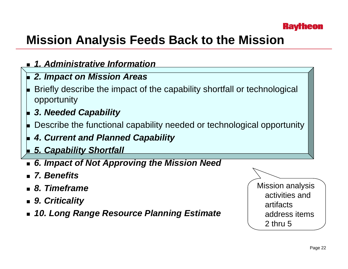

# **Mission Analysis Feeds Back to the Mission**

- *1. Administrative Information*
- ▉ *2. Impact on Mission Areas*
- ▉ Briefly describe the impact of the capability shortfall or technological opportunity
- ▉ *3. Needed Capability*
- ▉ Describe the functional capability needed or technological opportunity
- *4. Current and Planned Capability*
- ▉ *5. Capability Shortfall*
- *6. Impact of Not Approving the Mission Need*
- *7. Benefits*
- *8. Timeframe*
- *9. Criticality*
- *10. Long Range Resource Planning Estimate*

Mission analysis activities and artifacts address items 2 thru 5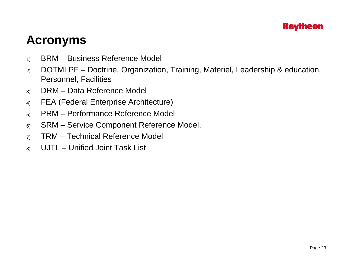

### **Acronyms**

- 1) BRM Business Reference Model
- 2) DOTMLPF Doctrine, Organization, Training, Materiel, Leadership & education, Personnel, Facilities
- 3) DRM Data Reference Model
- 4) FEA (Federal Enterprise Architecture)
- 5) PRM Performance Reference Model
- 6) SRM Service Component Reference Model,
- 7) TRM Technical Reference Model
- 8) UJTL Unified Joint Task List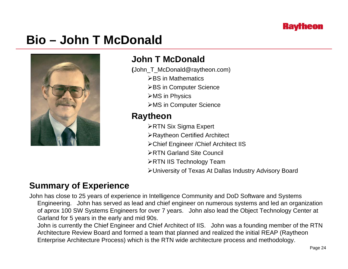

### **Bio – John T McDonald**



#### **John T McDonald**

- **(**John\_T\_McDonald@raytheon.com)
	- **≻BS in Mathematics**
	- **≻BS in Computer Science**
	- **≻MS in Physics**
	- ¾MS in Computer Science

#### **Raytheon**

- **≻RTN Six Sigma Expert**
- ¾Raytheon Certified Architect
- ¾Chief Engineer /Chief Architect IIS
- ¾RTN Garland Site Council
- **≻RTN IIS Technology Team**
- ¾University of Texas At Dallas Industry Advisory Board

#### **Summary of Experience**

John has close to 25 years of experience in Intelligence Community and DoD Software and Systems Engineering. John has served as lead and chief engineer on numerous systems and led an organization of aprox 100 SW Systems Engineers for over 7 years. John also lead the Object Technology Center at Garland for 5 years in the early and mid 90s.

John is currently the Chief Engineer and Chief Architect of IIS. John was a founding member of the RTN Architecture Review Board and formed a team that planned and realized the initial REAP (Raytheon Enterprise Architecture Process) which is the RTN wide architecture process and methodology.